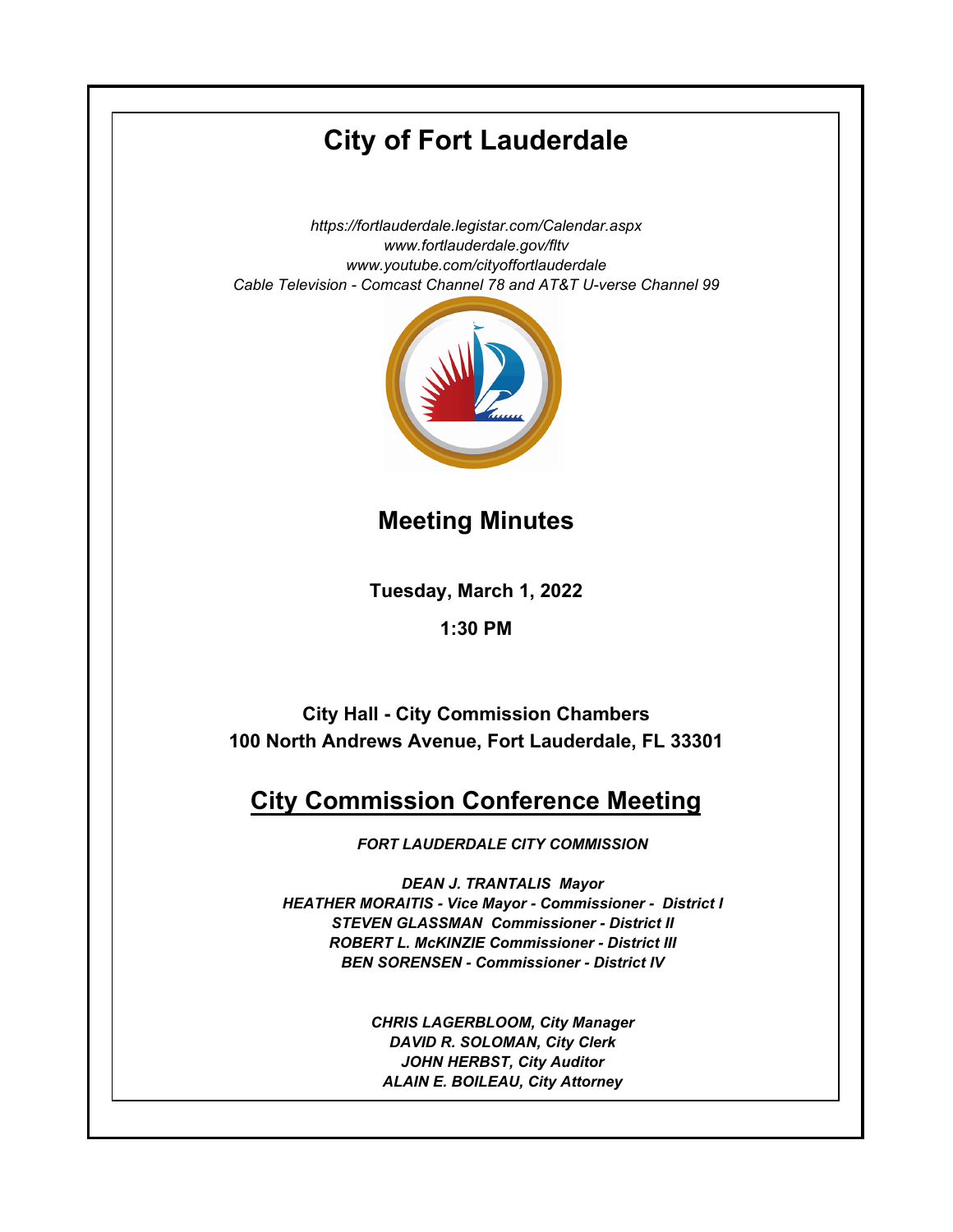# **City of Fort Lauderdale**

*https://fortlauderdale.legistar.com/Calendar.aspx www.fortlauderdale.gov/fltv www.youtube.com/cityoffortlauderdale Cable Television - Comcast Channel 78 and AT&T U-verse Channel 99*



## **Meeting Minutes**

**Tuesday, March 1, 2022**

## **1:30 PM**

**City Hall - City Commission Chambers 100 North Andrews Avenue, Fort Lauderdale, FL 33301**

# **City Commission Conference Meeting**

*FORT LAUDERDALE CITY COMMISSION*

*DEAN J. TRANTALIS Mayor HEATHER MORAITIS - Vice Mayor - Commissioner - District I STEVEN GLASSMAN Commissioner - District II ROBERT L. McKINZIE Commissioner - District III BEN SORENSEN - Commissioner - District IV* 

> *CHRIS LAGERBLOOM, City Manager DAVID R. SOLOMAN, City Clerk JOHN HERBST, City Auditor ALAIN E. BOILEAU, City Attorney*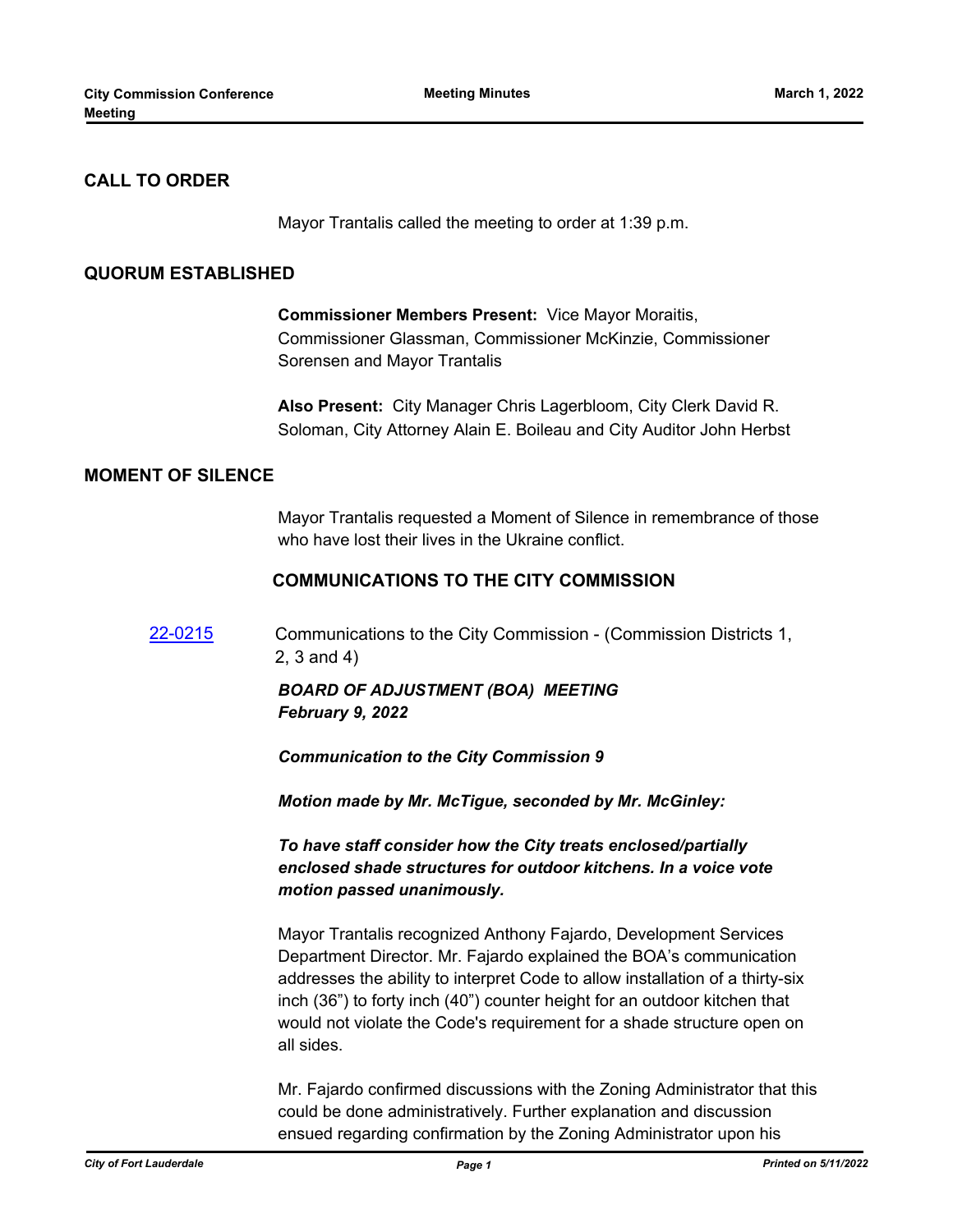## **CALL TO ORDER**

Mayor Trantalis called the meeting to order at 1:39 p.m.

#### **QUORUM ESTABLISHED**

**Commissioner Members Present:** Vice Mayor Moraitis, Commissioner Glassman, Commissioner McKinzie, Commissioner Sorensen and Mayor Trantalis

**Also Present:** City Manager Chris Lagerbloom, City Clerk David R. Soloman, City Attorney Alain E. Boileau and City Auditor John Herbst

## **MOMENT OF SILENCE**

Mayor Trantalis requested a Moment of Silence in remembrance of those who have lost their lives in the Ukraine conflict.

#### **COMMUNICATIONS TO THE CITY COMMISSION**

[22-0215](http://fortlauderdale.legistar.com/gateway.aspx?m=l&id=/matter.aspx?key=16336) Communications to the City Commission - (Commission Districts 1, 2, 3 and 4)

## *BOARD OF ADJUSTMENT (BOA) MEETING February 9, 2022*

*Communication to the City Commission 9*

*Motion made by Mr. McTigue, seconded by Mr. McGinley:*

*To have staff consider how the City treats enclosed/partially enclosed shade structures for outdoor kitchens. In a voice vote motion passed unanimously.*

Mayor Trantalis recognized Anthony Fajardo, Development Services Department Director. Mr. Fajardo explained the BOA's communication addresses the ability to interpret Code to allow installation of a thirty-six inch (36") to forty inch (40") counter height for an outdoor kitchen that would not violate the Code's requirement for a shade structure open on all sides.

Mr. Fajardo confirmed discussions with the Zoning Administrator that this could be done administratively. Further explanation and discussion ensued regarding confirmation by the Zoning Administrator upon his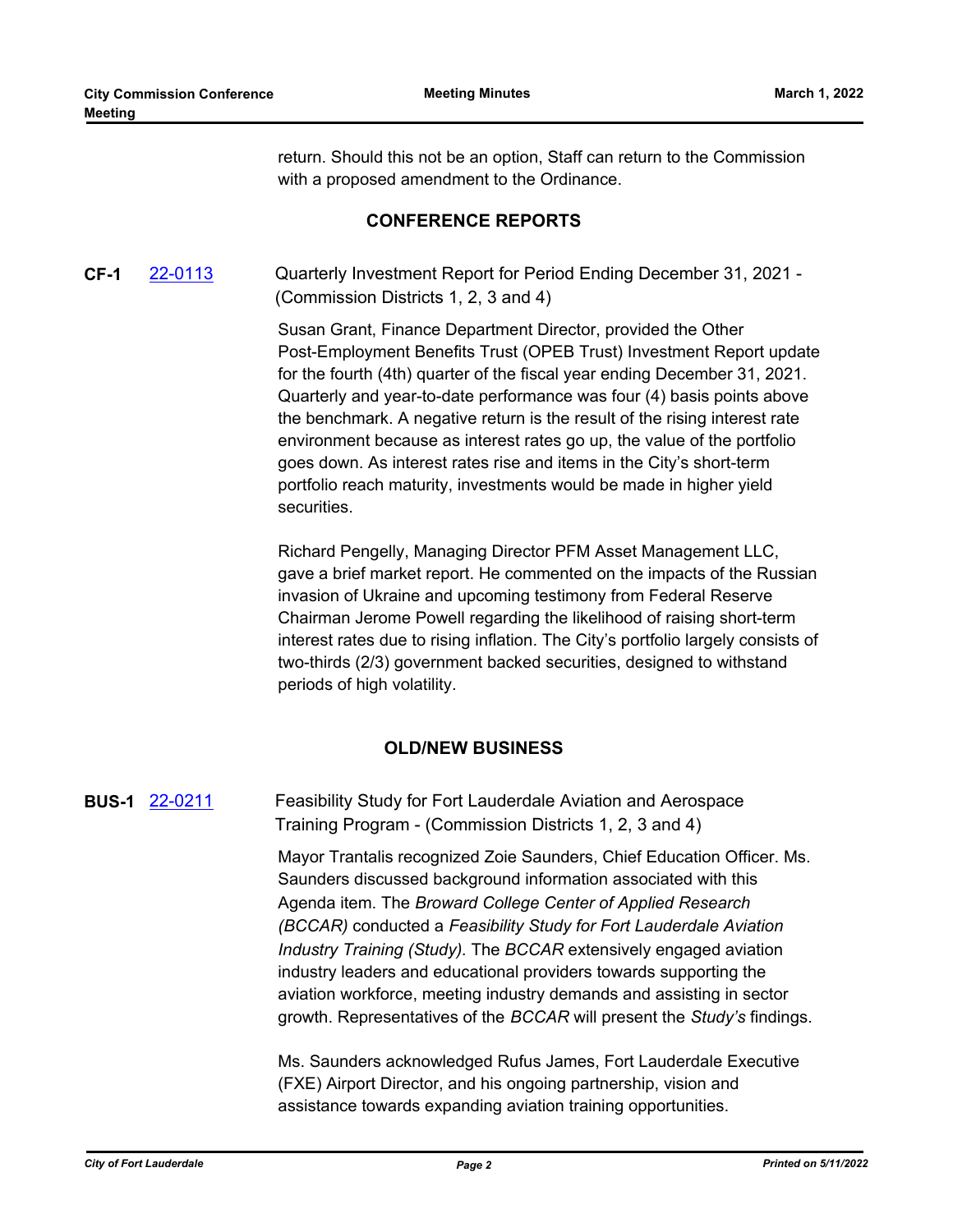return. Should this not be an option, Staff can return to the Commission with a proposed amendment to the Ordinance.

#### **CONFERENCE REPORTS**

## **CF-1** [22-0113](http://fortlauderdale.legistar.com/gateway.aspx?m=l&id=/matter.aspx?key=16235) Quarterly Investment Report for Period Ending December 31, 2021 - (Commission Districts 1, 2, 3 and 4)

Susan Grant, Finance Department Director, provided the Other Post-Employment Benefits Trust (OPEB Trust) Investment Report update for the fourth (4th) quarter of the fiscal year ending December 31, 2021. Quarterly and year-to-date performance was four (4) basis points above the benchmark. A negative return is the result of the rising interest rate environment because as interest rates go up, the value of the portfolio goes down. As interest rates rise and items in the City's short-term portfolio reach maturity, investments would be made in higher yield securities.

Richard Pengelly, Managing Director PFM Asset Management LLC, gave a brief market report. He commented on the impacts of the Russian invasion of Ukraine and upcoming testimony from Federal Reserve Chairman Jerome Powell regarding the likelihood of raising short-term interest rates due to rising inflation. The City's portfolio largely consists of two-thirds (2/3) government backed securities, designed to withstand periods of high volatility.

## **OLD/NEW BUSINESS**

**BUS-1** [22-0211](http://fortlauderdale.legistar.com/gateway.aspx?m=l&id=/matter.aspx?key=16332) Feasibility Study for Fort Lauderdale Aviation and Aerospace Training Program - (Commission Districts 1, 2, 3 and 4)

> Mayor Trantalis recognized Zoie Saunders, Chief Education Officer. Ms. Saunders discussed background information associated with this Agenda item. The *Broward College Center of Applied Research (BCCAR)* conducted a *Feasibility Study for Fort Lauderdale Aviation Industry Training (Study).* The *BCCAR* extensively engaged aviation industry leaders and educational providers towards supporting the aviation workforce, meeting industry demands and assisting in sector growth. Representatives of the *BCCAR* will present the *Study's* findings.

Ms. Saunders acknowledged Rufus James, Fort Lauderdale Executive (FXE) Airport Director, and his ongoing partnership, vision and assistance towards expanding aviation training opportunities.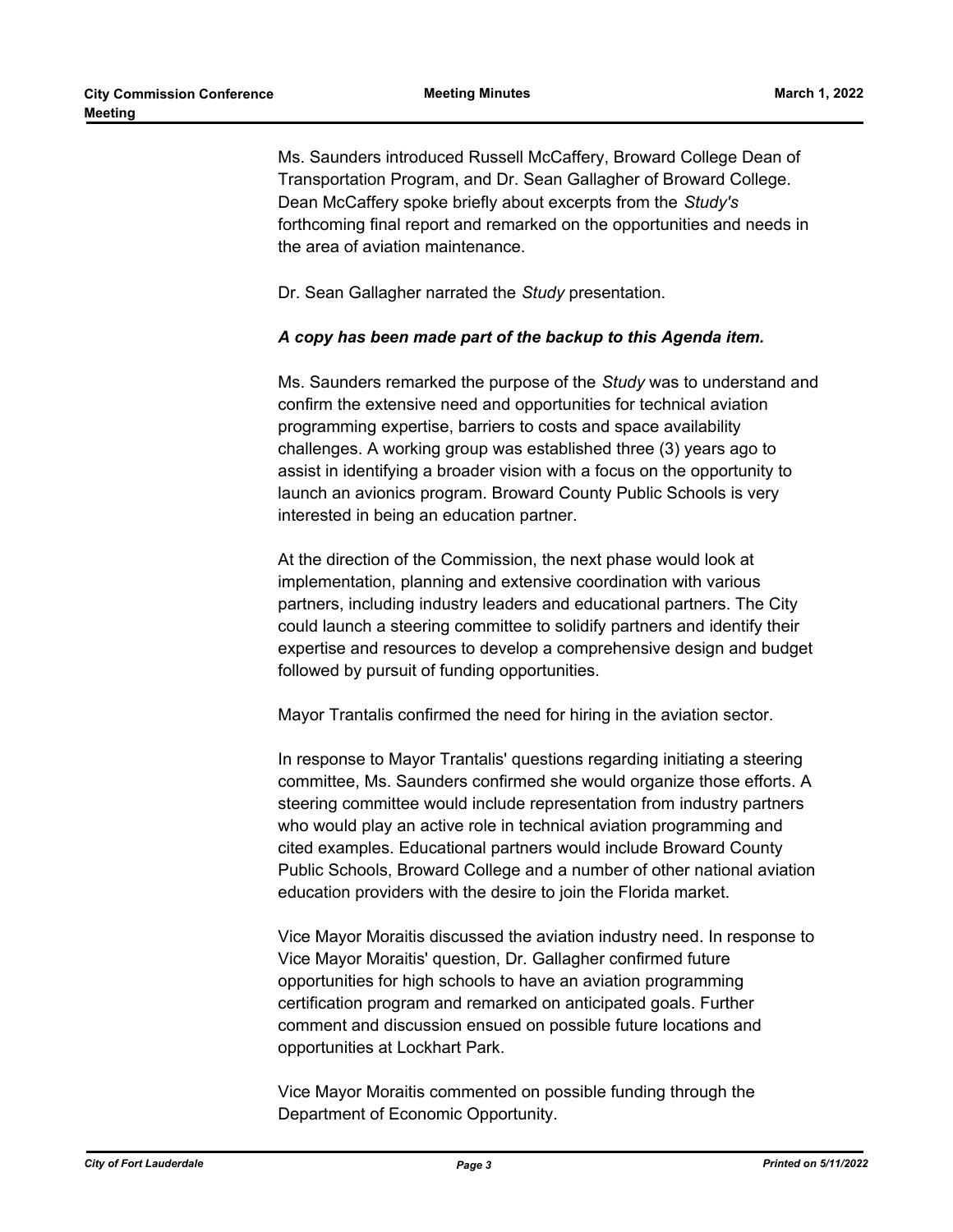Ms. Saunders introduced Russell McCaffery, Broward College Dean of Transportation Program, and Dr. Sean Gallagher of Broward College. Dean McCaffery spoke briefly about excerpts from the *Study's* forthcoming final report and remarked on the opportunities and needs in the area of aviation maintenance.

Dr. Sean Gallagher narrated the *Study* presentation.

#### *A copy has been made part of the backup to this Agenda item.*

Ms. Saunders remarked the purpose of the *Study* was to understand and confirm the extensive need and opportunities for technical aviation programming expertise, barriers to costs and space availability challenges. A working group was established three (3) years ago to assist in identifying a broader vision with a focus on the opportunity to launch an avionics program. Broward County Public Schools is very interested in being an education partner.

At the direction of the Commission, the next phase would look at implementation, planning and extensive coordination with various partners, including industry leaders and educational partners. The City could launch a steering committee to solidify partners and identify their expertise and resources to develop a comprehensive design and budget followed by pursuit of funding opportunities.

Mayor Trantalis confirmed the need for hiring in the aviation sector.

In response to Mayor Trantalis' questions regarding initiating a steering committee, Ms. Saunders confirmed she would organize those efforts. A steering committee would include representation from industry partners who would play an active role in technical aviation programming and cited examples. Educational partners would include Broward County Public Schools, Broward College and a number of other national aviation education providers with the desire to join the Florida market.

Vice Mayor Moraitis discussed the aviation industry need. In response to Vice Mayor Moraitis' question, Dr. Gallagher confirmed future opportunities for high schools to have an aviation programming certification program and remarked on anticipated goals. Further comment and discussion ensued on possible future locations and opportunities at Lockhart Park.

Vice Mayor Moraitis commented on possible funding through the Department of Economic Opportunity.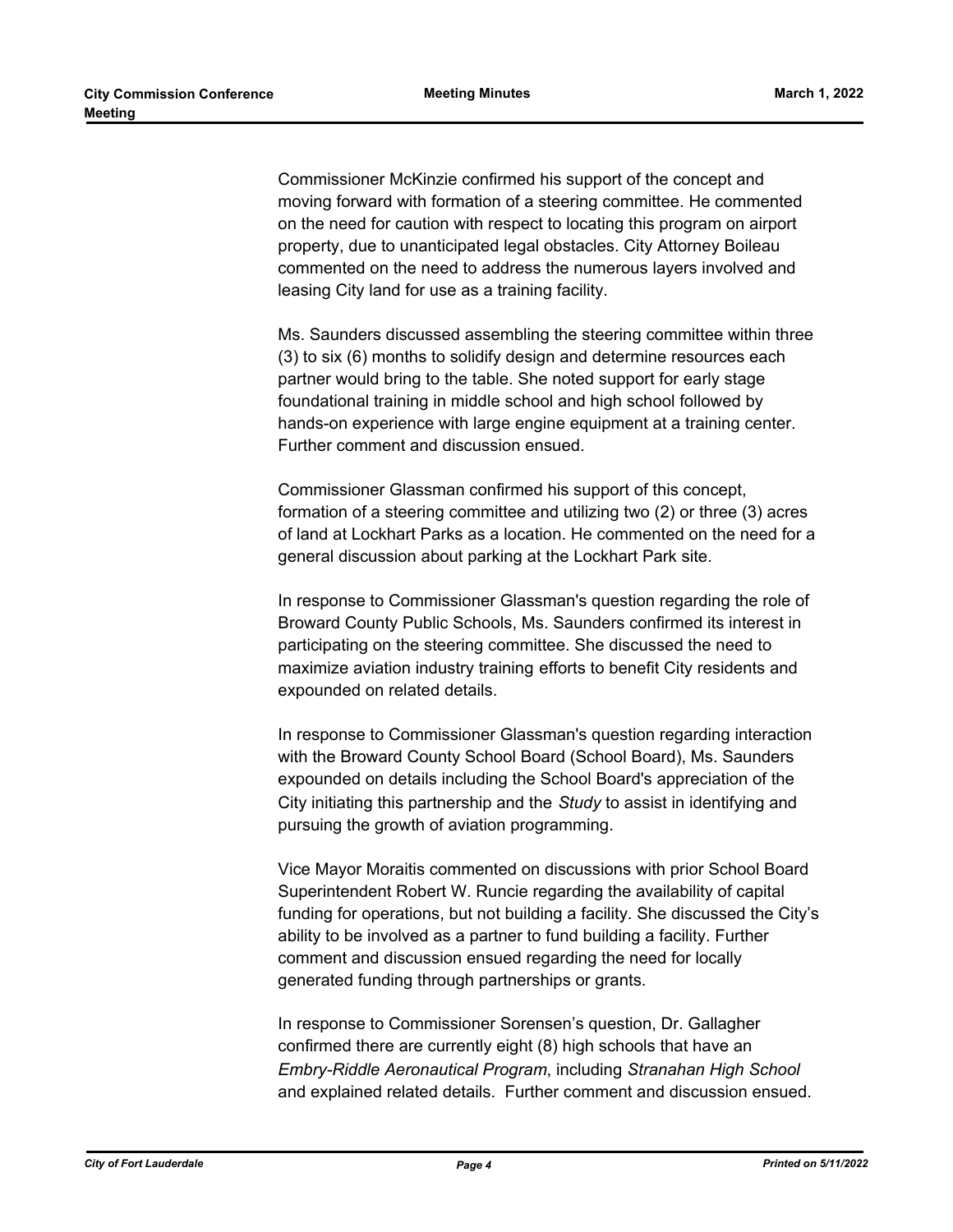Commissioner McKinzie confirmed his support of the concept and moving forward with formation of a steering committee. He commented on the need for caution with respect to locating this program on airport property, due to unanticipated legal obstacles. City Attorney Boileau commented on the need to address the numerous layers involved and leasing City land for use as a training facility.

Ms. Saunders discussed assembling the steering committee within three (3) to six (6) months to solidify design and determine resources each partner would bring to the table. She noted support for early stage foundational training in middle school and high school followed by hands-on experience with large engine equipment at a training center. Further comment and discussion ensued.

Commissioner Glassman confirmed his support of this concept, formation of a steering committee and utilizing two (2) or three (3) acres of land at Lockhart Parks as a location. He commented on the need for a general discussion about parking at the Lockhart Park site.

In response to Commissioner Glassman's question regarding the role of Broward County Public Schools, Ms. Saunders confirmed its interest in participating on the steering committee. She discussed the need to maximize aviation industry training efforts to benefit City residents and expounded on related details.

In response to Commissioner Glassman's question regarding interaction with the Broward County School Board (School Board), Ms. Saunders expounded on details including the School Board's appreciation of the City initiating this partnership and the *Study* to assist in identifying and pursuing the growth of aviation programming.

Vice Mayor Moraitis commented on discussions with prior School Board Superintendent Robert W. Runcie regarding the availability of capital funding for operations, but not building a facility. She discussed the City's ability to be involved as a partner to fund building a facility. Further comment and discussion ensued regarding the need for locally generated funding through partnerships or grants.

In response to Commissioner Sorensen's question, Dr. Gallagher confirmed there are currently eight (8) high schools that have an *Embry-Riddle Aeronautical Program*, including *Stranahan High School* and explained related details. Further comment and discussion ensued.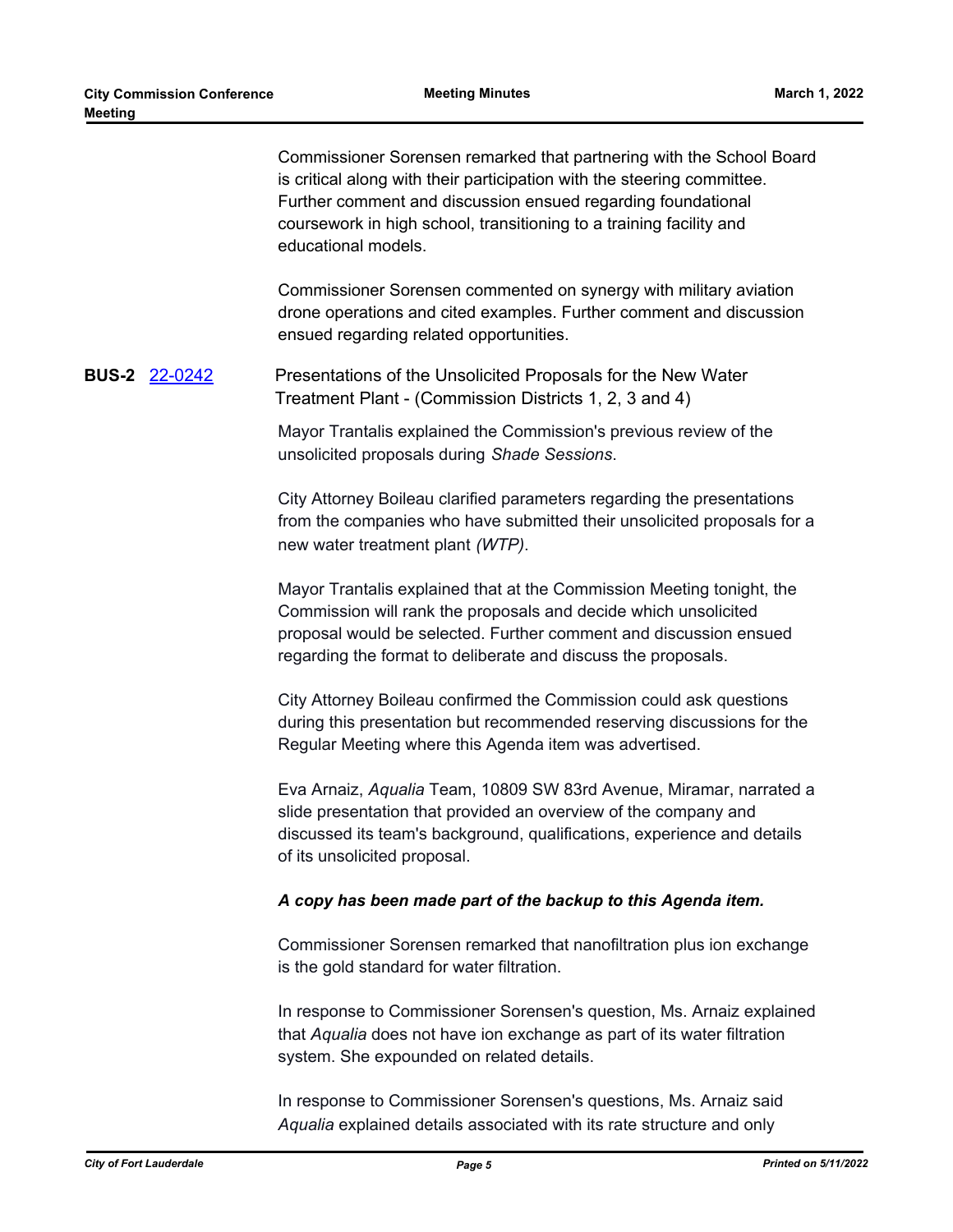Commissioner Sorensen remarked that partnering with the School Board is critical along with their participation with the steering committee. Further comment and discussion ensued regarding foundational coursework in high school, transitioning to a training facility and educational models.

Commissioner Sorensen commented on synergy with military aviation drone operations and cited examples. Further comment and discussion ensued regarding related opportunities.

## **BUS-2** [22-0242](http://fortlauderdale.legistar.com/gateway.aspx?m=l&id=/matter.aspx?key=16362) Presentations of the Unsolicited Proposals for the New Water Treatment Plant - (Commission Districts 1, 2, 3 and 4)

Mayor Trantalis explained the Commission's previous review of the unsolicited proposals during *Shade Sessions*.

City Attorney Boileau clarified parameters regarding the presentations from the companies who have submitted their unsolicited proposals for a new water treatment plant *(WTP)*.

Mayor Trantalis explained that at the Commission Meeting tonight, the Commission will rank the proposals and decide which unsolicited proposal would be selected. Further comment and discussion ensued regarding the format to deliberate and discuss the proposals.

City Attorney Boileau confirmed the Commission could ask questions during this presentation but recommended reserving discussions for the Regular Meeting where this Agenda item was advertised.

Eva Arnaiz, *Aqualia* Team, 10809 SW 83rd Avenue, Miramar, narrated a slide presentation that provided an overview of the company and discussed its team's background, qualifications, experience and details of its unsolicited proposal.

#### *A copy has been made part of the backup to this Agenda item.*

Commissioner Sorensen remarked that nanofiltration plus ion exchange is the gold standard for water filtration.

In response to Commissioner Sorensen's question, Ms. Arnaiz explained that *Aqualia* does not have ion exchange as part of its water filtration system. She expounded on related details.

In response to Commissioner Sorensen's questions, Ms. Arnaiz said *Aqualia* explained details associated with its rate structure and only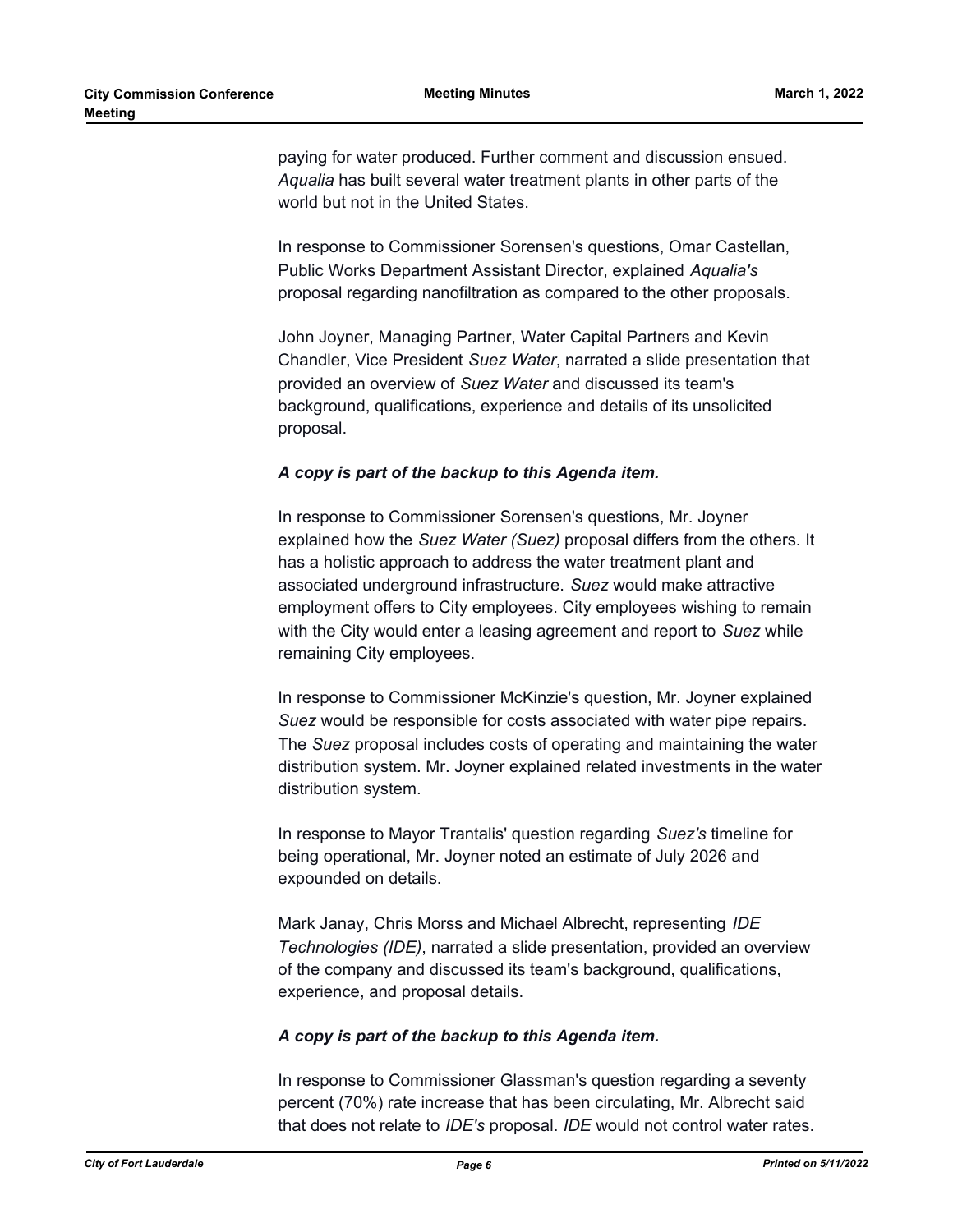paying for water produced. Further comment and discussion ensued. *Aqualia* has built several water treatment plants in other parts of the world but not in the United States.

In response to Commissioner Sorensen's questions, Omar Castellan, Public Works Department Assistant Director, explained *Aqualia's* proposal regarding nanofiltration as compared to the other proposals.

John Joyner, Managing Partner, Water Capital Partners and Kevin Chandler, Vice President *Suez Water*, narrated a slide presentation that provided an overview of *Suez Water* and discussed its team's background, qualifications, experience and details of its unsolicited proposal.

#### *A copy is part of the backup to this Agenda item.*

In response to Commissioner Sorensen's questions, Mr. Joyner explained how the *Suez Water (Suez)* proposal differs from the others. It has a holistic approach to address the water treatment plant and associated underground infrastructure. *Suez* would make attractive employment offers to City employees. City employees wishing to remain with the City would enter a leasing agreement and report to *Suez* while remaining City employees.

In response to Commissioner McKinzie's question, Mr. Joyner explained *Suez* would be responsible for costs associated with water pipe repairs. The *Suez* proposal includes costs of operating and maintaining the water distribution system. Mr. Joyner explained related investments in the water distribution system.

In response to Mayor Trantalis' question regarding *Suez's* timeline for being operational, Mr. Joyner noted an estimate of July 2026 and expounded on details.

Mark Janay, Chris Morss and Michael Albrecht, representing *IDE Technologies (IDE)*, narrated a slide presentation, provided an overview of the company and discussed its team's background, qualifications, experience, and proposal details.

## *A copy is part of the backup to this Agenda item.*

In response to Commissioner Glassman's question regarding a seventy percent (70%) rate increase that has been circulating, Mr. Albrecht said that does not relate to *IDE's* proposal. *IDE* would not control water rates.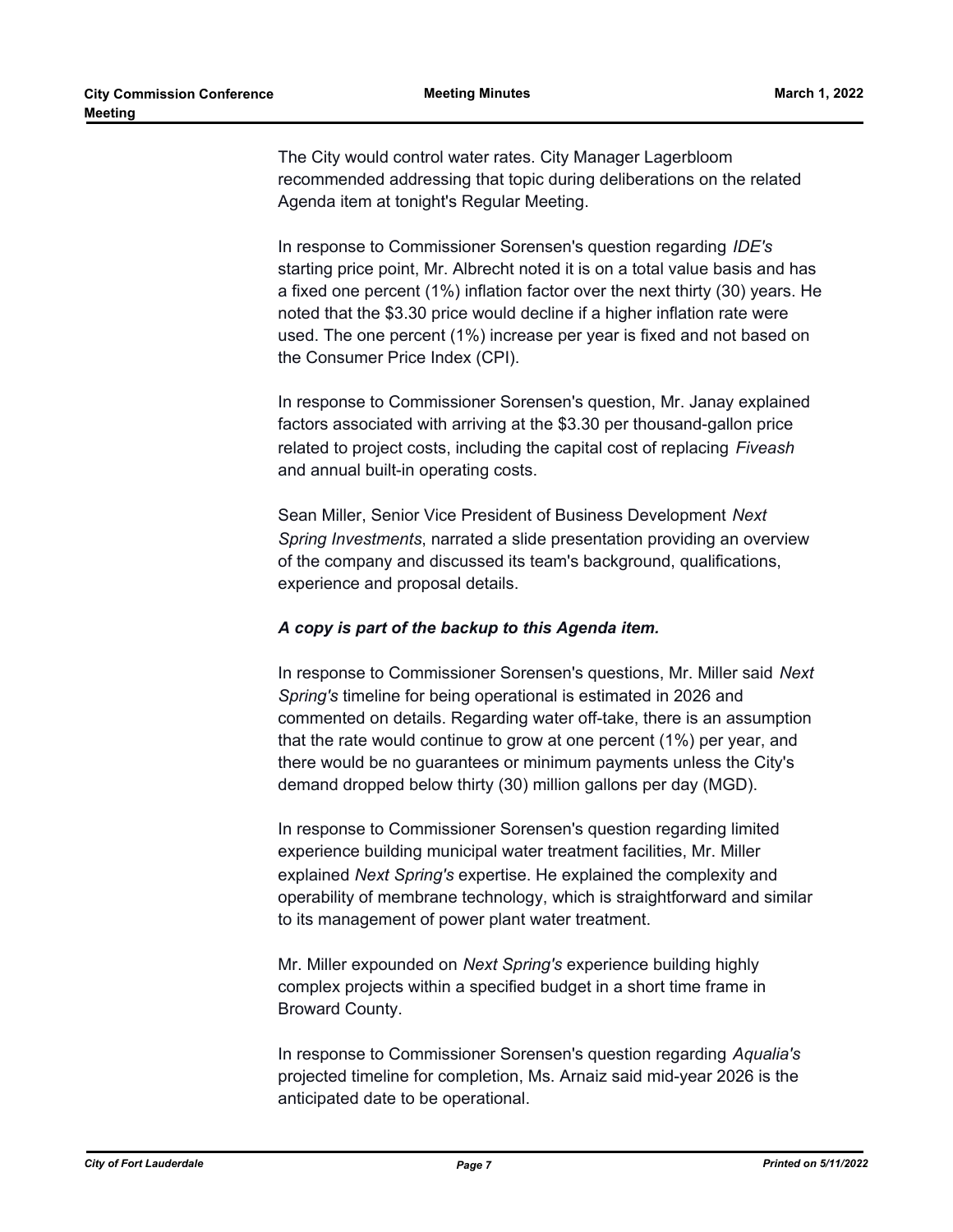The City would control water rates. City Manager Lagerbloom recommended addressing that topic during deliberations on the related Agenda item at tonight's Regular Meeting.

In response to Commissioner Sorensen's question regarding *IDE's* starting price point, Mr. Albrecht noted it is on a total value basis and has a fixed one percent (1%) inflation factor over the next thirty (30) years. He noted that the \$3.30 price would decline if a higher inflation rate were used. The one percent (1%) increase per year is fixed and not based on the Consumer Price Index (CPI).

In response to Commissioner Sorensen's question, Mr. Janay explained factors associated with arriving at the \$3.30 per thousand-gallon price related to project costs, including the capital cost of replacing *Fiveash* and annual built-in operating costs.

Sean Miller, Senior Vice President of Business Development *Next Spring Investments*, narrated a slide presentation providing an overview of the company and discussed its team's background, qualifications, experience and proposal details.

#### *A copy is part of the backup to this Agenda item.*

In response to Commissioner Sorensen's questions, Mr. Miller said *Next Spring's* timeline for being operational is estimated in 2026 and commented on details. Regarding water off-take, there is an assumption that the rate would continue to grow at one percent (1%) per year, and there would be no guarantees or minimum payments unless the City's demand dropped below thirty (30) million gallons per day (MGD).

In response to Commissioner Sorensen's question regarding limited experience building municipal water treatment facilities, Mr. Miller explained *Next Spring's* expertise. He explained the complexity and operability of membrane technology, which is straightforward and similar to its management of power plant water treatment.

Mr. Miller expounded on *Next Spring's* experience building highly complex projects within a specified budget in a short time frame in Broward County.

In response to Commissioner Sorensen's question regarding *Aqualia's* projected timeline for completion, Ms. Arnaiz said mid-year 2026 is the anticipated date to be operational.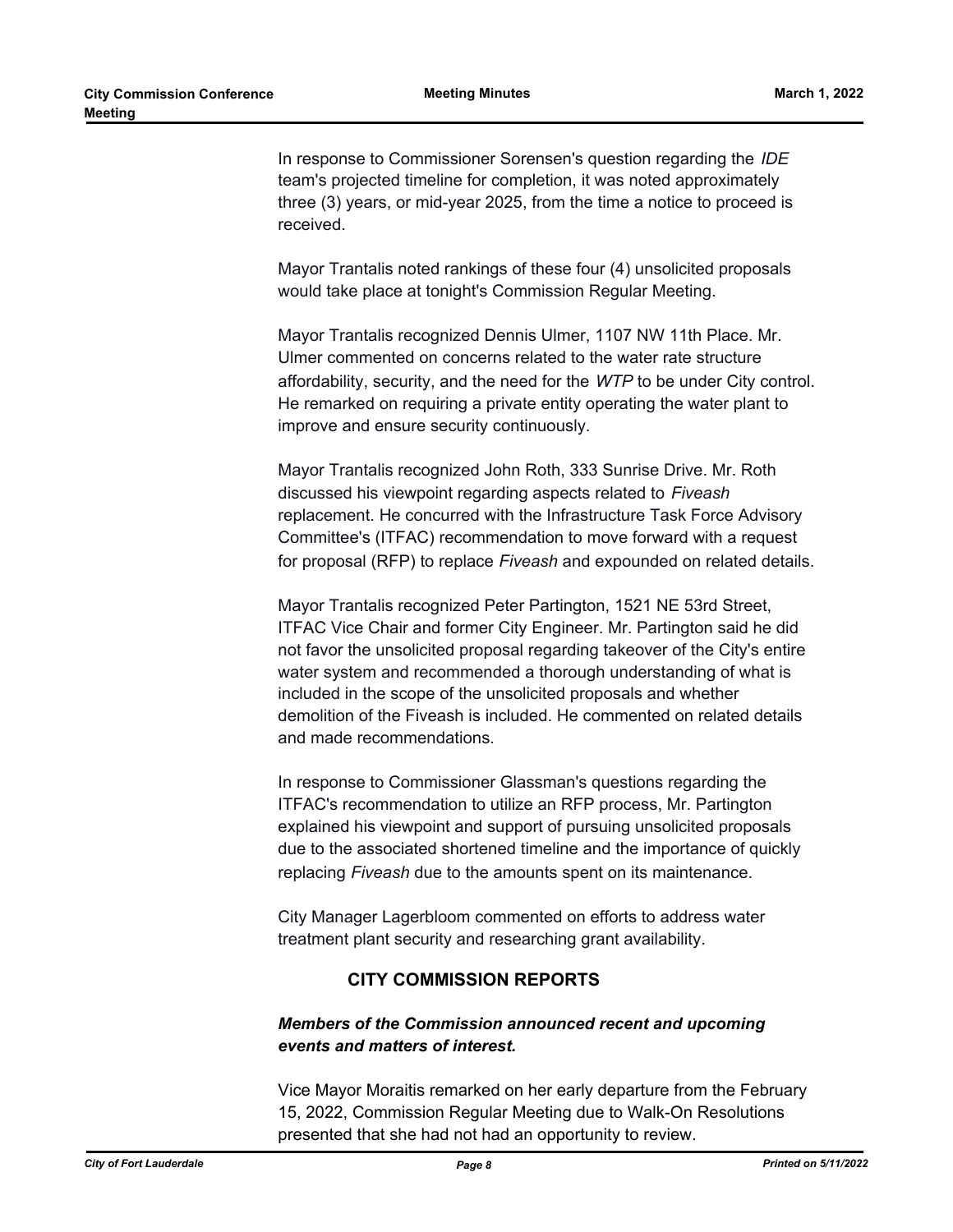In response to Commissioner Sorensen's question regarding the *IDE*  team's projected timeline for completion, it was noted approximately three (3) years, or mid-year 2025, from the time a notice to proceed is received.

Mayor Trantalis noted rankings of these four (4) unsolicited proposals would take place at tonight's Commission Regular Meeting.

Mayor Trantalis recognized Dennis Ulmer, 1107 NW 11th Place. Mr. Ulmer commented on concerns related to the water rate structure affordability, security, and the need for the *WTP* to be under City control. He remarked on requiring a private entity operating the water plant to improve and ensure security continuously.

Mayor Trantalis recognized John Roth, 333 Sunrise Drive. Mr. Roth discussed his viewpoint regarding aspects related to *Fiveash* replacement. He concurred with the Infrastructure Task Force Advisory Committee's (ITFAC) recommendation to move forward with a request for proposal (RFP) to replace *Fiveash* and expounded on related details.

Mayor Trantalis recognized Peter Partington, 1521 NE 53rd Street, ITFAC Vice Chair and former City Engineer. Mr. Partington said he did not favor the unsolicited proposal regarding takeover of the City's entire water system and recommended a thorough understanding of what is included in the scope of the unsolicited proposals and whether demolition of the Fiveash is included. He commented on related details and made recommendations.

In response to Commissioner Glassman's questions regarding the ITFAC's recommendation to utilize an RFP process, Mr. Partington explained his viewpoint and support of pursuing unsolicited proposals due to the associated shortened timeline and the importance of quickly replacing *Fiveash* due to the amounts spent on its maintenance.

City Manager Lagerbloom commented on efforts to address water treatment plant security and researching grant availability.

## **CITY COMMISSION REPORTS**

## *Members of the Commission announced recent and upcoming events and matters of interest.*

Vice Mayor Moraitis remarked on her early departure from the February 15, 2022, Commission Regular Meeting due to Walk-On Resolutions presented that she had not had an opportunity to review.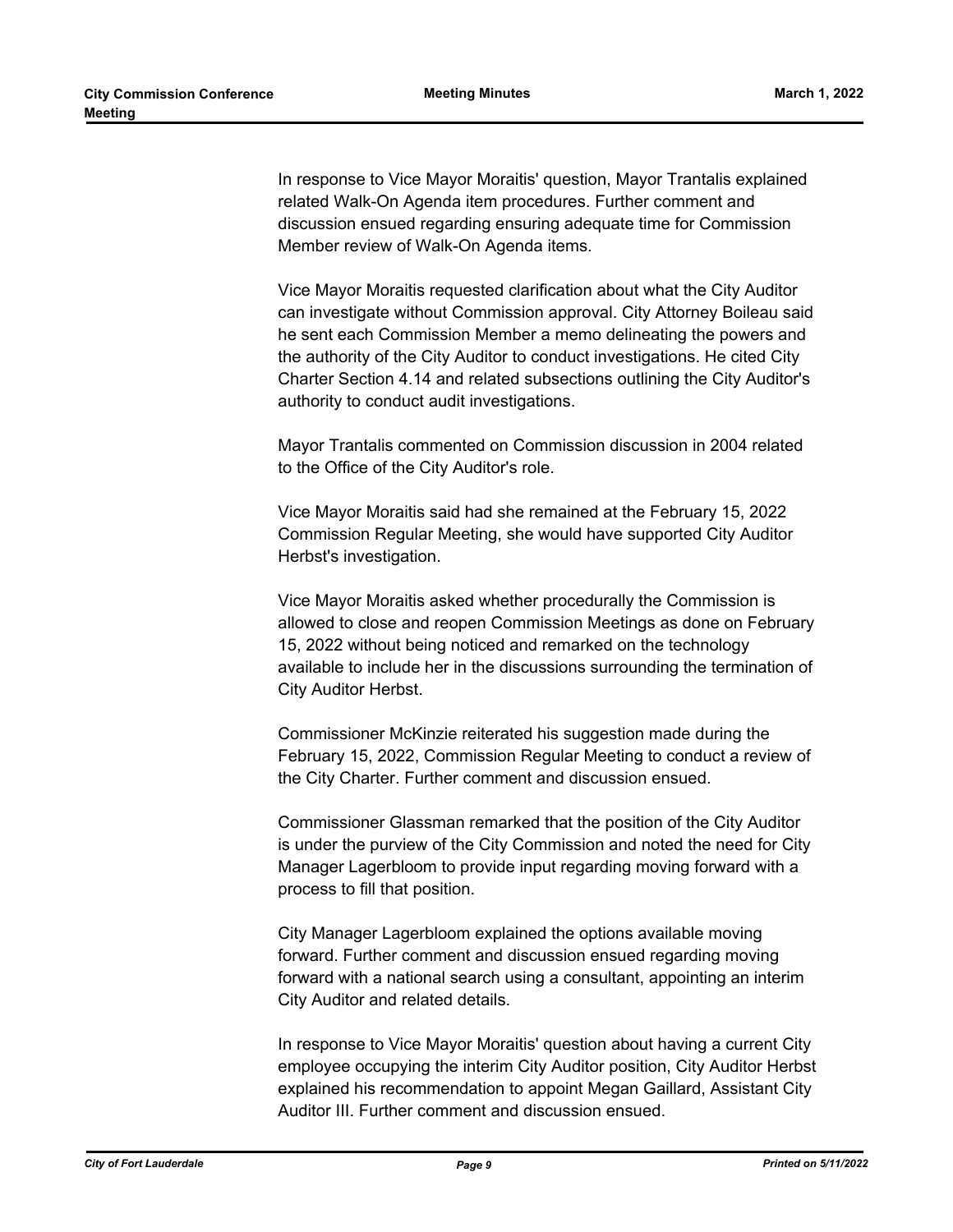In response to Vice Mayor Moraitis' question, Mayor Trantalis explained related Walk-On Agenda item procedures. Further comment and discussion ensued regarding ensuring adequate time for Commission Member review of Walk-On Agenda items.

Vice Mayor Moraitis requested clarification about what the City Auditor can investigate without Commission approval. City Attorney Boileau said he sent each Commission Member a memo delineating the powers and the authority of the City Auditor to conduct investigations. He cited City Charter Section 4.14 and related subsections outlining the City Auditor's authority to conduct audit investigations.

Mayor Trantalis commented on Commission discussion in 2004 related to the Office of the City Auditor's role.

Vice Mayor Moraitis said had she remained at the February 15, 2022 Commission Regular Meeting, she would have supported City Auditor Herbst's investigation.

Vice Mayor Moraitis asked whether procedurally the Commission is allowed to close and reopen Commission Meetings as done on February 15, 2022 without being noticed and remarked on the technology available to include her in the discussions surrounding the termination of City Auditor Herbst.

Commissioner McKinzie reiterated his suggestion made during the February 15, 2022, Commission Regular Meeting to conduct a review of the City Charter. Further comment and discussion ensued.

Commissioner Glassman remarked that the position of the City Auditor is under the purview of the City Commission and noted the need for City Manager Lagerbloom to provide input regarding moving forward with a process to fill that position.

City Manager Lagerbloom explained the options available moving forward. Further comment and discussion ensued regarding moving forward with a national search using a consultant, appointing an interim City Auditor and related details.

In response to Vice Mayor Moraitis' question about having a current City employee occupying the interim City Auditor position, City Auditor Herbst explained his recommendation to appoint Megan Gaillard, Assistant City Auditor III. Further comment and discussion ensued.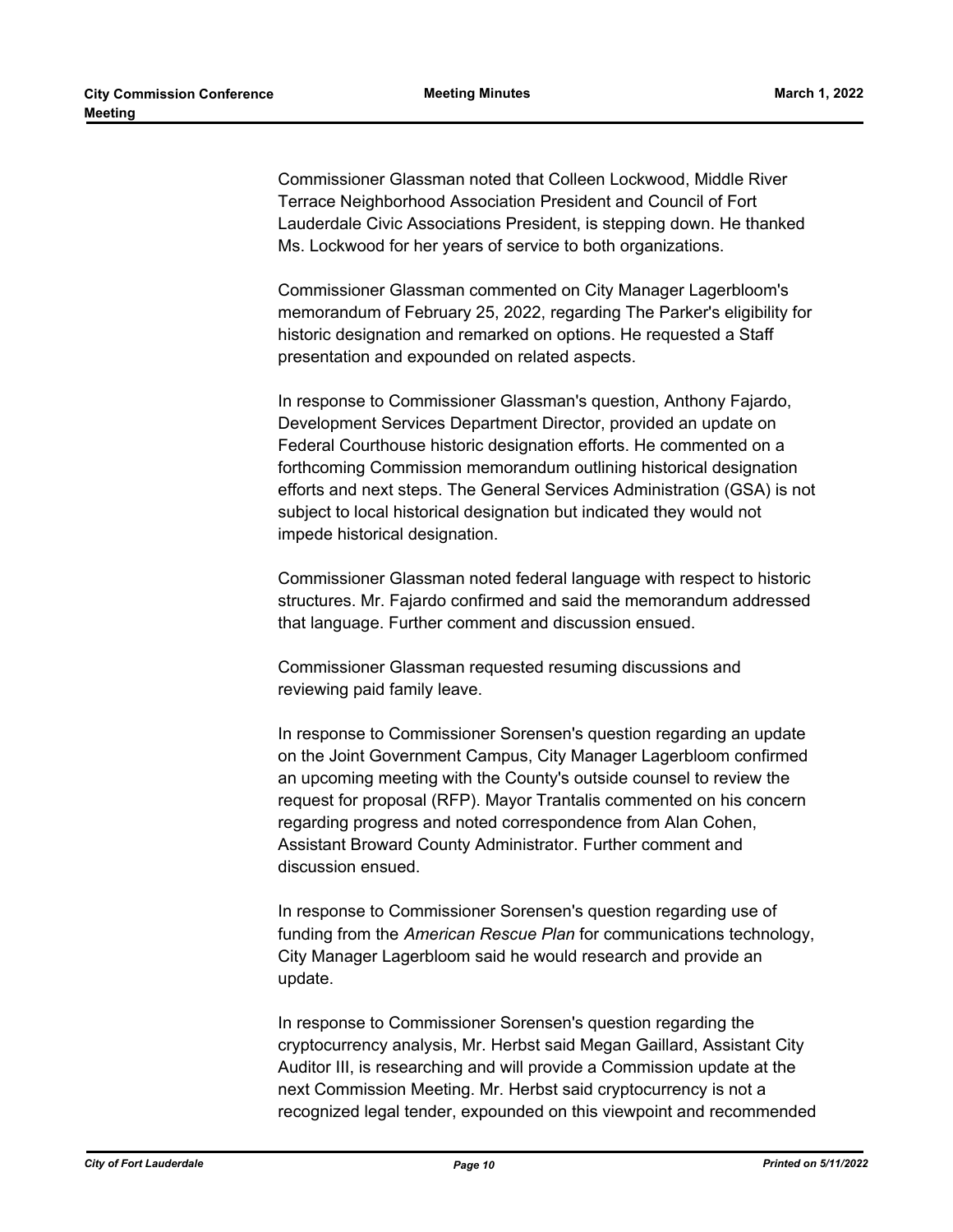Commissioner Glassman noted that Colleen Lockwood, Middle River Terrace Neighborhood Association President and Council of Fort Lauderdale Civic Associations President, is stepping down. He thanked Ms. Lockwood for her years of service to both organizations.

Commissioner Glassman commented on City Manager Lagerbloom's memorandum of February 25, 2022, regarding The Parker's eligibility for historic designation and remarked on options. He requested a Staff presentation and expounded on related aspects.

In response to Commissioner Glassman's question, Anthony Fajardo, Development Services Department Director, provided an update on Federal Courthouse historic designation efforts. He commented on a forthcoming Commission memorandum outlining historical designation efforts and next steps. The General Services Administration (GSA) is not subject to local historical designation but indicated they would not impede historical designation.

Commissioner Glassman noted federal language with respect to historic structures. Mr. Fajardo confirmed and said the memorandum addressed that language. Further comment and discussion ensued.

Commissioner Glassman requested resuming discussions and reviewing paid family leave.

In response to Commissioner Sorensen's question regarding an update on the Joint Government Campus, City Manager Lagerbloom confirmed an upcoming meeting with the County's outside counsel to review the request for proposal (RFP). Mayor Trantalis commented on his concern regarding progress and noted correspondence from Alan Cohen, Assistant Broward County Administrator. Further comment and discussion ensued.

In response to Commissioner Sorensen's question regarding use of funding from the *American Rescue Plan* for communications technology, City Manager Lagerbloom said he would research and provide an update.

In response to Commissioner Sorensen's question regarding the cryptocurrency analysis, Mr. Herbst said Megan Gaillard, Assistant City Auditor III, is researching and will provide a Commission update at the next Commission Meeting. Mr. Herbst said cryptocurrency is not a recognized legal tender, expounded on this viewpoint and recommended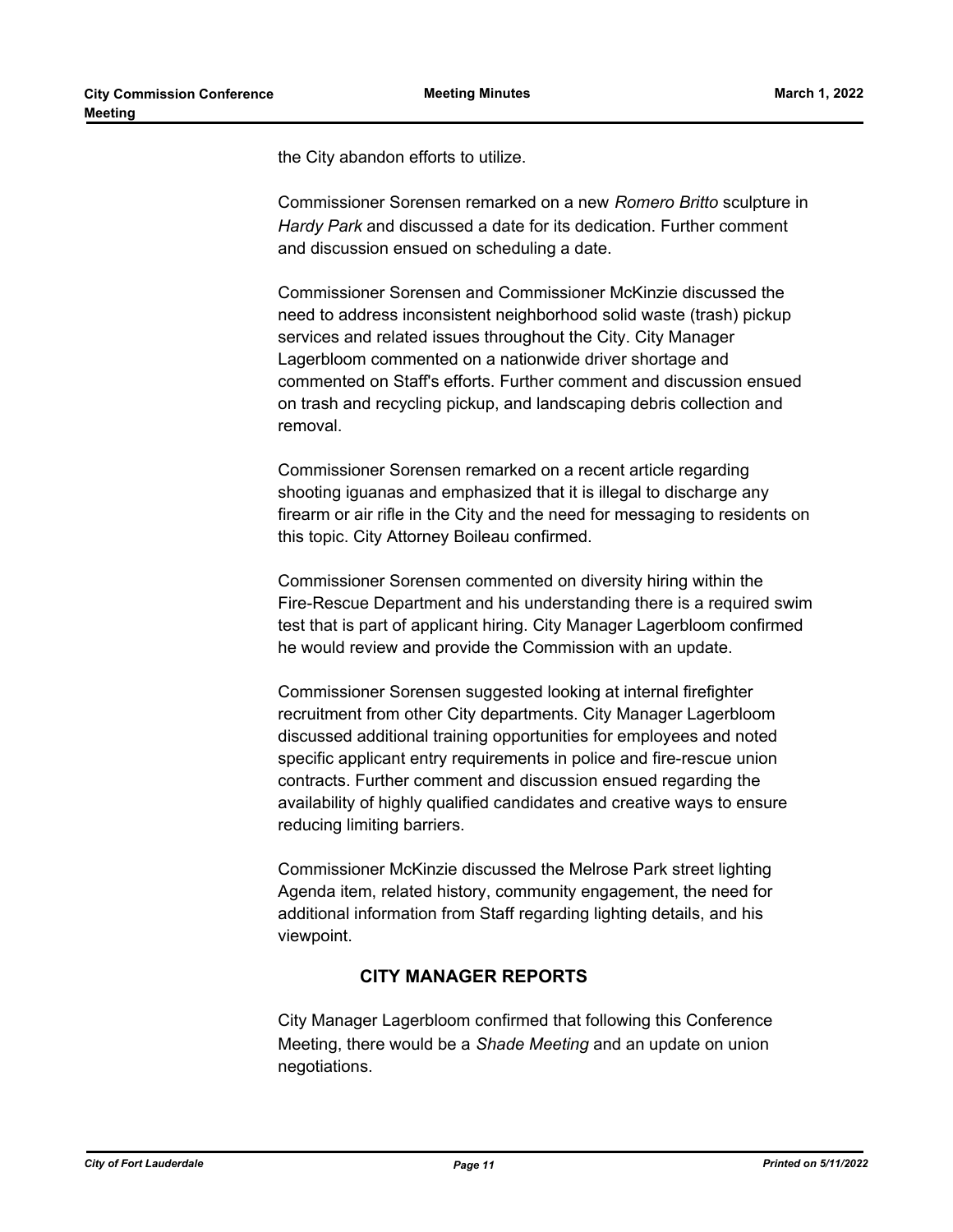the City abandon efforts to utilize.

Commissioner Sorensen remarked on a new *Romero Britto* sculpture in *Hardy Park* and discussed a date for its dedication. Further comment and discussion ensued on scheduling a date.

Commissioner Sorensen and Commissioner McKinzie discussed the need to address inconsistent neighborhood solid waste (trash) pickup services and related issues throughout the City. City Manager Lagerbloom commented on a nationwide driver shortage and commented on Staff's efforts. Further comment and discussion ensued on trash and recycling pickup, and landscaping debris collection and removal.

Commissioner Sorensen remarked on a recent article regarding shooting iguanas and emphasized that it is illegal to discharge any firearm or air rifle in the City and the need for messaging to residents on this topic. City Attorney Boileau confirmed.

Commissioner Sorensen commented on diversity hiring within the Fire-Rescue Department and his understanding there is a required swim test that is part of applicant hiring. City Manager Lagerbloom confirmed he would review and provide the Commission with an update.

Commissioner Sorensen suggested looking at internal firefighter recruitment from other City departments. City Manager Lagerbloom discussed additional training opportunities for employees and noted specific applicant entry requirements in police and fire-rescue union contracts. Further comment and discussion ensued regarding the availability of highly qualified candidates and creative ways to ensure reducing limiting barriers.

Commissioner McKinzie discussed the Melrose Park street lighting Agenda item, related history, community engagement, the need for additional information from Staff regarding lighting details, and his viewpoint.

## **CITY MANAGER REPORTS**

City Manager Lagerbloom confirmed that following this Conference Meeting, there would be a *Shade Meeting* and an update on union negotiations.